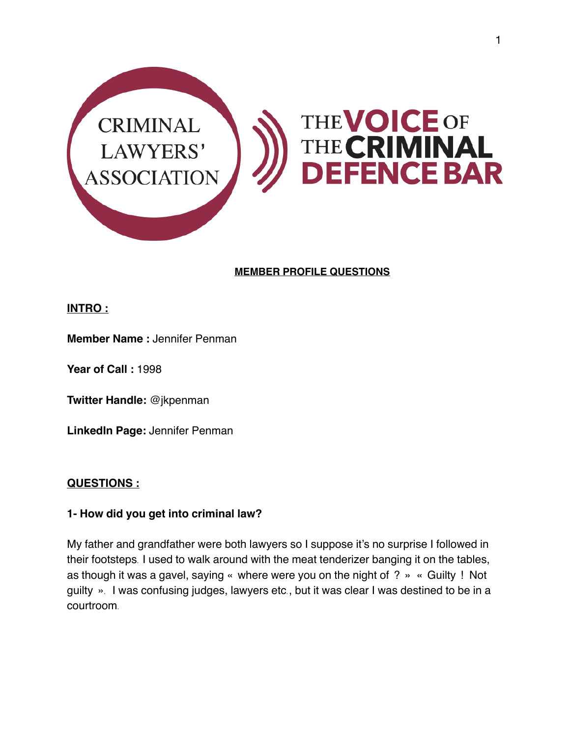

### **MEMBER PROFILE QUESTIONS**

#### **INTRO :**

**Member Name :** Jennifer Penman

**Year of Call :** 1998

**Twitter Handle:** @jkpenman

**LinkedIn Page:** Jennifer Penman

#### **QUESTIONS :**

#### **1- How did you get into criminal law?**

My father and grandfather were both lawyers so I suppose it's no surprise I followed in their footsteps. I used to walk around with the meat tenderizer banging it on the tables, as though it was a gavel, saying « where were you on the night of ? » « Guilty ! Not guilty ». I was confusing judges, lawyers etc., but it was clear I was destined to be in a courtroom.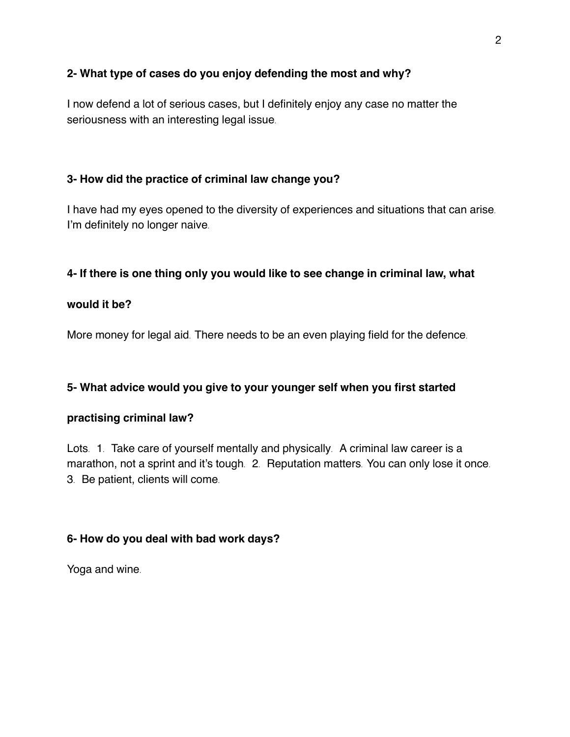## **2- What type of cases do you enjoy defending the most and why?**

I now defend a lot of serious cases, but I definitely enjoy any case no matter the seriousness with an interesting legal issue.

# **3- How did the practice of criminal law change you?**

I have had my eyes opened to the diversity of experiences and situations that can arise. I'm definitely no longer naive.

# **4- If there is one thing only you would like to see change in criminal law, what**

#### **would it be?**

More money for legal aid. There needs to be an even playing field for the defence.

# **5- What advice would you give to your younger self when you first started**

#### **practising criminal law?**

Lots. 1. Take care of yourself mentally and physically. A criminal law career is a marathon, not a sprint and it's tough. 2. Reputation matters. You can only lose it once. 3. Be patient, clients will come.

#### **6- How do you deal with bad work days?**

Yoga and wine.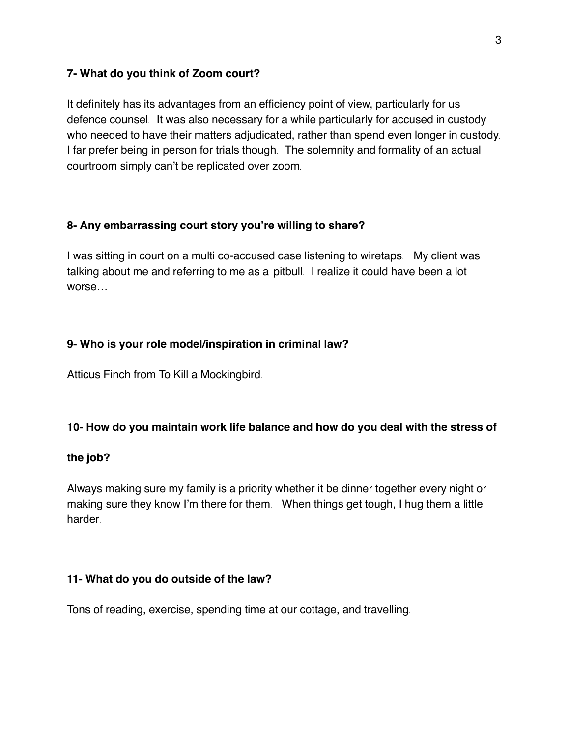#### **7- What do you think of Zoom court?**

It definitely has its advantages from an efficiency point of view, particularly for us defence counsel. It was also necessary for a while particularly for accused in custody who needed to have their matters adjudicated, rather than spend even longer in custody. I far prefer being in person for trials though. The solemnity and formality of an actual courtroom simply can't be replicated over zoom.

# **8- Any embarrassing court story you're willing to share?**

I was sitting in court on a multi co-accused case listening to wiretaps. My client was talking about me and referring to me as a pitbull. I realize it could have been a lot worse…

# **9- Who is your role model/inspiration in criminal law?**

Atticus Finch from To Kill a Mockingbird.

#### **10- How do you maintain work life balance and how do you deal with the stress of**

#### **the job?**

Always making sure my family is a priority whether it be dinner together every night or making sure they know I'm there for them. When things get tough, I hug them a little harder.

#### **11- What do you do outside of the law?**

Tons of reading, exercise, spending time at our cottage, and travelling.